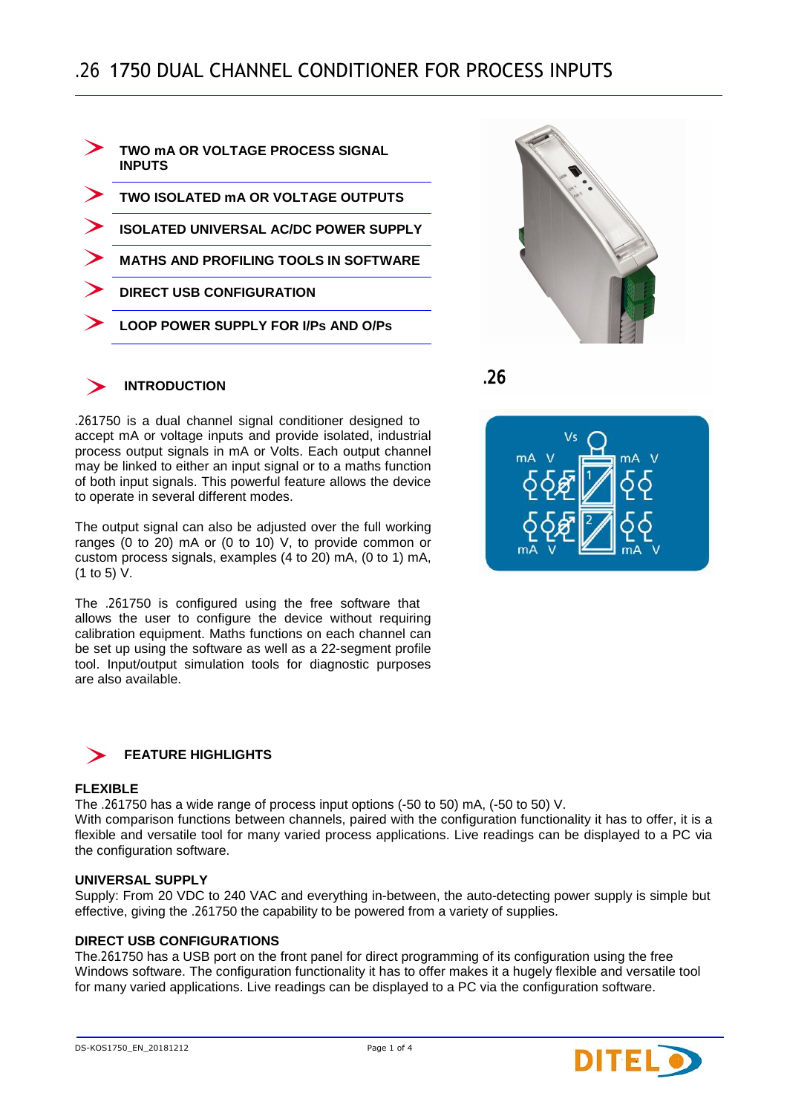

## **INTRODUCTION**

**.26**1750 is a dual channel signal conditioner designed to accept mA or voltage inputs and provide isolated, industrial process output signals in mA or Volts. Each output channel may be linked to either an input signal or to a maths function of both input signals. This powerful feature allows the device to operate in several different modes.

The output signal can also be adjusted over the full working ranges (0 to 20) mA or (0 to 10) V, to provide common or custom process signals, examples (4 to 20) mA, (0 to 1) mA, (1 to 5) V.

The .261750 is configured using the free software that allows the user to configure the device without requiring calibration equipment. Maths functions on each channel can be set up using the software as well as a 22-segment profile tool. Input/output simulation tools for diagnostic purposes are also available.



### **FLEXIBLE**

The .261750 has a wide range of process input options (-50 to 50) mA, (-50 to 50) V. With comparison functions between channels, paired with the configuration functionality it has to offer, it is a flexible and versatile tool for many varied process applications. Live readings can be displayed to a PC via the configuration software.

#### **UNIVERSAL SUPPLY**

Supply: From 20 VDC to 240 VAC and everything in-between, the auto-detecting power supply is simple but effective, giving the .261750 the capability to be powered from a variety of supplies.

### **DIRECT USB CONFIGURATIONS**

The. 261750 has a USB port on the front panel for direct programming of its configuration using the free Windows software. The configuration functionality it has to offer makes it a hugely flexible and versatile tool for many varied applications. Live readings can be displayed to a PC via the configuration software.



.26

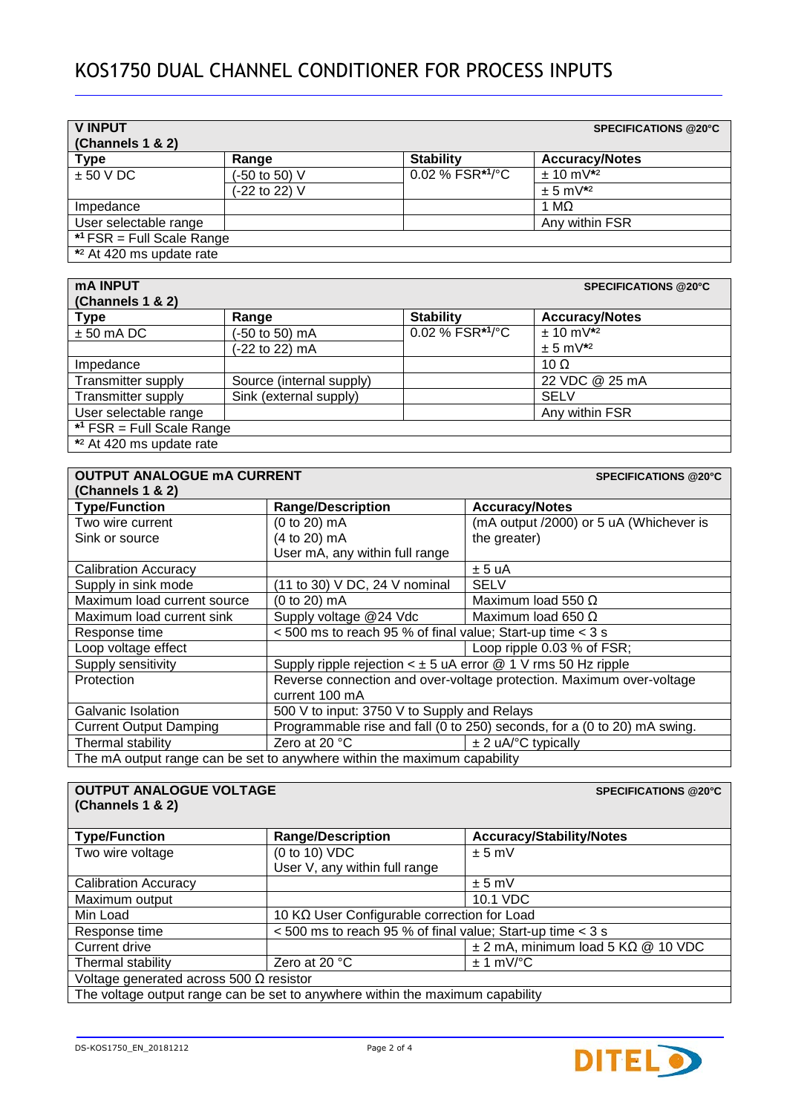# KOS1750 DUAL CHANNEL CONDITIONER FOR PROCESS INPUTS

| <b>VINPUT</b><br>(Channels 1 & 2)       |               |                            | <b>SPECIFICATIONS @20°C</b> |
|-----------------------------------------|---------------|----------------------------|-----------------------------|
| <b>Type</b>                             | Range         | <b>Stability</b>           | <b>Accuracy/Notes</b>       |
| $± 50 V$ DC                             | (-50 to 50) V | $0.02\%$ FSR*1/ $\sqrt{C}$ | $± 10 mV^{*2}$              |
|                                         | (-22 to 22) V |                            | $+5$ mV <sup>*2</sup>       |
| Impedance                               |               |                            | 1 M $\Omega$                |
| User selectable range                   |               |                            | Any within FSR              |
| $*$ <sup>1</sup> FSR = Full Scale Range |               |                            |                             |
| *2 At 420 ms update rate                |               |                            |                             |

| <b>mA INPUT</b>                         |                          | <b>SPECIFICATIONS @20°C</b> |                       |
|-----------------------------------------|--------------------------|-----------------------------|-----------------------|
| (Channels 1 & 2)                        |                          |                             |                       |
| <b>Type</b>                             | Range                    | <b>Stability</b>            | <b>Accuracy/Notes</b> |
| $± 50$ mA DC                            | (-50 to 50) mA           | $0.02 \% FSR*1/°C$          | $± 10 mV^{*2}$        |
|                                         | (-22 to 22) mA           |                             | $± 5$ m $V^{*2}$      |
| Impedance                               |                          |                             | 10 $\Omega$           |
| Transmitter supply                      | Source (internal supply) |                             | 22 VDC @ 25 mA        |
| Transmitter supply                      | Sink (external supply)   |                             | <b>SELV</b>           |
| User selectable range                   |                          |                             | Any within FSR        |
| $*$ <sup>1</sup> FSR = Full Scale Range |                          |                             |                       |
| *2 At 420 ms update rate                |                          |                             |                       |

| <b>OUTPUT ANALOGUE MA CURRENT</b>                                        |                                                                          | <b>SPECIFICATIONS @20°C</b>             |
|--------------------------------------------------------------------------|--------------------------------------------------------------------------|-----------------------------------------|
| (Channels 1 & 2)                                                         |                                                                          |                                         |
| <b>Type/Function</b>                                                     | <b>Range/Description</b>                                                 | <b>Accuracy/Notes</b>                   |
| Two wire current                                                         | $(0 to 20)$ mA                                                           | (mA output /2000) or 5 uA (Whichever is |
| Sink or source                                                           | (4 to 20) mA                                                             | the greater)                            |
|                                                                          | User mA, any within full range                                           |                                         |
| <b>Calibration Accuracy</b>                                              |                                                                          | ± 5 uA                                  |
| Supply in sink mode                                                      | (11 to 30) V DC, 24 V nominal                                            | <b>SELV</b>                             |
| Maximum load current source                                              | $(0 to 20)$ mA                                                           | Maximum load 550 $\Omega$               |
| Maximum load current sink                                                | Supply voltage @24 Vdc                                                   | Maximum load 650 $\Omega$               |
| Response time                                                            | <500 ms to reach 95 % of final value; Start-up time < 3 s                |                                         |
| Loop voltage effect                                                      |                                                                          | Loop ripple 0.03 % of FSR;              |
| Supply sensitivity                                                       | Supply ripple rejection $\lt \pm 5$ uA error @ 1 V rms 50 Hz ripple      |                                         |
| Protection                                                               | Reverse connection and over-voltage protection. Maximum over-voltage     |                                         |
|                                                                          | current 100 mA                                                           |                                         |
| Galvanic Isolation                                                       | 500 V to input: 3750 V to Supply and Relays                              |                                         |
| <b>Current Output Damping</b>                                            | Programmable rise and fall (0 to 250) seconds, for a (0 to 20) mA swing. |                                         |
| Thermal stability                                                        | Zero at 20 $\degree$ C                                                   | $\pm$ 2 uA/ $\degree$ C typically       |
| The mA output range can be set to anywhere within the maximum capability |                                                                          |                                         |

The mA output range can be set to anywhere within the maximum capability

## **OUTPUT ANALOGUE VOLTAGE SPECIFICATIONS** @20°C **(Channels 1 & 2)**

| <b>Type/Function</b>                                                          | <b>Range/Description</b>                                  | <b>Accuracy/Stability/Notes</b>                |
|-------------------------------------------------------------------------------|-----------------------------------------------------------|------------------------------------------------|
| Two wire voltage                                                              | (0 to 10) VDC                                             | $± 5$ mV                                       |
|                                                                               | User V, any within full range                             |                                                |
| <b>Calibration Accuracy</b>                                                   |                                                           | $± 5$ mV                                       |
| Maximum output                                                                |                                                           | 10.1 VDC                                       |
| Min Load                                                                      | 10 KΩ User Configurable correction for Load               |                                                |
| Response time                                                                 | <500 ms to reach 95 % of final value; Start-up time < 3 s |                                                |
| Current drive                                                                 |                                                           | $\pm$ 2 mA, minimum load 5 K $\Omega$ @ 10 VDC |
| Thermal stability                                                             | Zero at 20 °C                                             | $± 1$ mV/ $°C$                                 |
| Voltage generated across 500 $\Omega$ resistor                                |                                                           |                                                |
| The voltage output range can be set to anywhere within the maximum capability |                                                           |                                                |

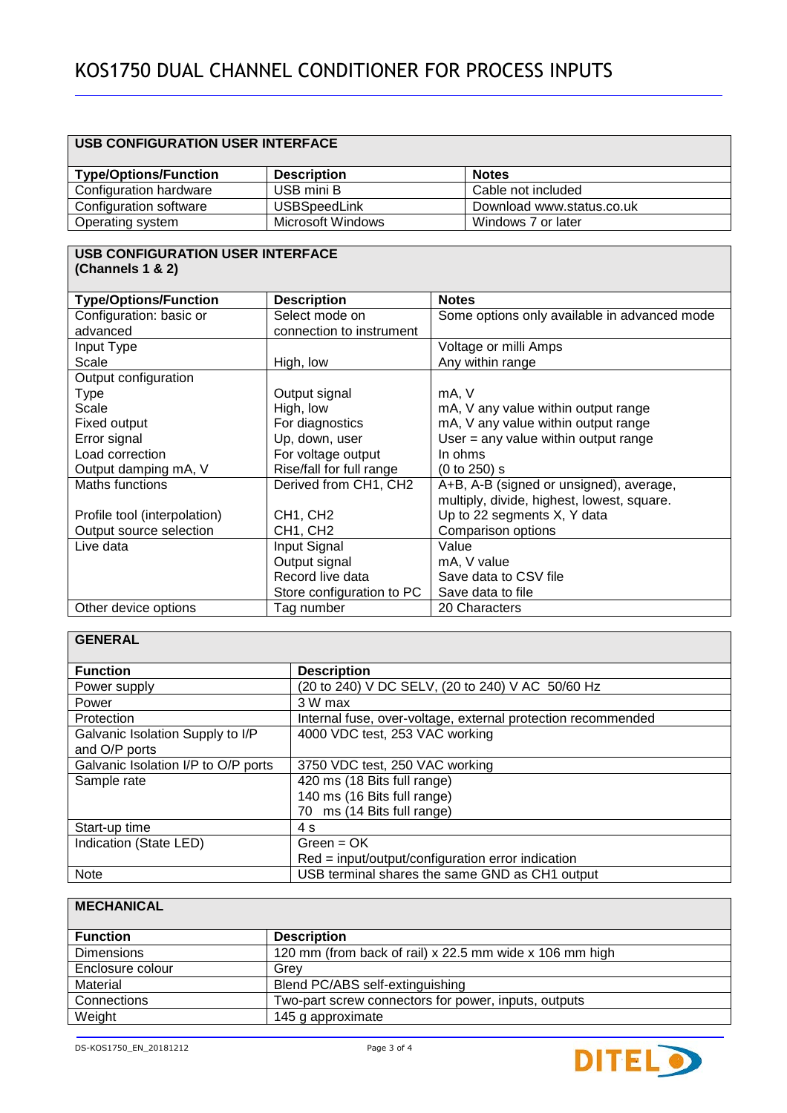## **USB CONFIGURATION USER INTERFACE**

| <b>Type/Options/Function</b> | <b>Description</b>  | <b>Notes</b>              |
|------------------------------|---------------------|---------------------------|
| Configuration hardware       | USB mini B          | Cable not included        |
| Configuration software       | <b>USBSpeedLink</b> | Download www.status.co.uk |
| Operating system             | Microsoft Windows   | Windows 7 or later        |

#### **USB CONFIGURATION USER INTERFACE (Channels 1 & 2)**

| <b>Type/Options/Function</b> | <b>Description</b>                | <b>Notes</b>                                 |
|------------------------------|-----------------------------------|----------------------------------------------|
| Configuration: basic or      | Select mode on                    | Some options only available in advanced mode |
| advanced                     | connection to instrument          |                                              |
| Input Type                   |                                   | Voltage or milli Amps                        |
| Scale                        | High, low                         | Any within range                             |
| Output configuration         |                                   |                                              |
| Type                         | Output signal                     | mA, V                                        |
| Scale                        | High, low                         | mA, V any value within output range          |
| Fixed output                 | For diagnostics                   | mA, V any value within output range          |
| Error signal                 | Up, down, user                    | User $=$ any value within output range       |
| Load correction              | For voltage output                | In ohms                                      |
| Output damping mA, V         | Rise/fall for full range          | $(0 to 250)$ s                               |
| Maths functions              | Derived from CH1, CH2             | A+B, A-B (signed or unsigned), average,      |
|                              |                                   | multiply, divide, highest, lowest, square.   |
| Profile tool (interpolation) | CH <sub>1</sub> , CH <sub>2</sub> | Up to 22 segments X, Y data                  |
| Output source selection      | CH <sub>1</sub> , CH <sub>2</sub> | Comparison options                           |
| Live data                    | Input Signal                      | Value                                        |
|                              | Output signal                     | mA, V value                                  |
|                              | Record live data                  | Save data to CSV file                        |
|                              | Store configuration to PC         | Save data to file                            |
| Other device options         | Tag number                        | 20 Characters                                |

#### **GENERAL**

| <b>Function</b>                     | <b>Description</b>                                           |
|-------------------------------------|--------------------------------------------------------------|
| Power supply                        | (20 to 240) V DC SELV, (20 to 240) V AC 50/60 Hz             |
| Power                               | 3 W max                                                      |
| Protection                          | Internal fuse, over-voltage, external protection recommended |
| Galvanic Isolation Supply to I/P    | 4000 VDC test, 253 VAC working                               |
| and O/P ports                       |                                                              |
| Galvanic Isolation I/P to O/P ports | 3750 VDC test, 250 VAC working                               |
| Sample rate                         | 420 ms (18 Bits full range)                                  |
|                                     | 140 ms (16 Bits full range)                                  |
|                                     | 70 ms (14 Bits full range)                                   |
| Start-up time                       | 4 s                                                          |
| Indication (State LED)              | $Green = OK$                                                 |
|                                     | Red = input/output/configuration error indication            |
| <b>Note</b>                         | USB terminal shares the same GND as CH1 output               |

## **MECHANICAL**

| <b>Function</b>   | <b>Description</b>                                      |
|-------------------|---------------------------------------------------------|
| <b>Dimensions</b> | 120 mm (from back of rail) x 22.5 mm wide x 106 mm high |
| Enclosure colour  | Grev                                                    |
| Material          | Blend PC/ABS self-extinguishing                         |
| Connections       | Two-part screw connectors for power, inputs, outputs    |
| Weight            | 145 g approximate                                       |